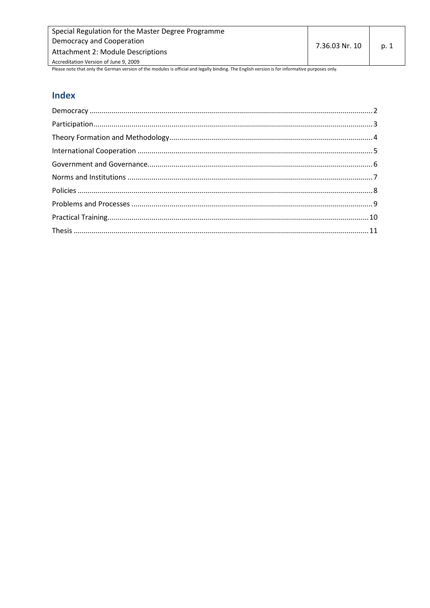| Special Regulation for the Master Degree Programme                                                                                             |                |      |
|------------------------------------------------------------------------------------------------------------------------------------------------|----------------|------|
| Democracy and Cooperation                                                                                                                      | 7.36.03 Nr. 10 | p. 1 |
| Attachment 2: Module Descriptions                                                                                                              |                |      |
| Accreditation Version of June 9, 2009                                                                                                          |                |      |
| Please note that only the German version of the modules is official and legally binding. The English version is for informative purposes only. |                |      |

# Index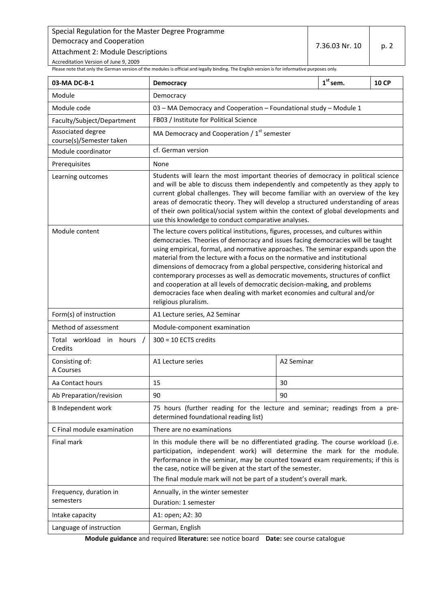Attachment 2: Module Descriptions

Accreditation Version of June 9, 2009

<span id="page-1-0"></span>Please note that only the German version of the modules is official and legally binding. The English version is for informative purposes only.

| 03-MA DC-B-1                                  | <b>Democracy</b>                                                                                                                                                                                                                                                                                                                                                                                                                                                                                                                                                                                                                                                                         |            | $1st$ sem. | <b>10 CP</b> |
|-----------------------------------------------|------------------------------------------------------------------------------------------------------------------------------------------------------------------------------------------------------------------------------------------------------------------------------------------------------------------------------------------------------------------------------------------------------------------------------------------------------------------------------------------------------------------------------------------------------------------------------------------------------------------------------------------------------------------------------------------|------------|------------|--------------|
| Module                                        | Democracy                                                                                                                                                                                                                                                                                                                                                                                                                                                                                                                                                                                                                                                                                |            |            |              |
| Module code                                   | 03 - MA Democracy and Cooperation - Foundational study - Module 1                                                                                                                                                                                                                                                                                                                                                                                                                                                                                                                                                                                                                        |            |            |              |
| Faculty/Subject/Department                    | FB03 / Institute for Political Science                                                                                                                                                                                                                                                                                                                                                                                                                                                                                                                                                                                                                                                   |            |            |              |
| Associated degree<br>course(s)/Semester taken | MA Democracy and Cooperation / $1st$ semester                                                                                                                                                                                                                                                                                                                                                                                                                                                                                                                                                                                                                                            |            |            |              |
| Module coordinator                            | cf. German version                                                                                                                                                                                                                                                                                                                                                                                                                                                                                                                                                                                                                                                                       |            |            |              |
| Prerequisites                                 | None                                                                                                                                                                                                                                                                                                                                                                                                                                                                                                                                                                                                                                                                                     |            |            |              |
| Learning outcomes                             | Students will learn the most important theories of democracy in political science<br>and will be able to discuss them independently and competently as they apply to<br>current global challenges. They will become familiar with an overview of the key<br>areas of democratic theory. They will develop a structured understanding of areas<br>of their own political/social system within the context of global developments and<br>use this knowledge to conduct comparative analyses.                                                                                                                                                                                               |            |            |              |
| Module content                                | The lecture covers political institutions, figures, processes, and cultures within<br>democracies. Theories of democracy and issues facing democracies will be taught<br>using empirical, formal, and normative approaches. The seminar expands upon the<br>material from the lecture with a focus on the normative and institutional<br>dimensions of democracy from a global perspective, considering historical and<br>contemporary processes as well as democratic movements, structures of conflict<br>and cooperation at all levels of democratic decision-making, and problems<br>democracies face when dealing with market economies and cultural and/or<br>religious pluralism. |            |            |              |
| Form(s) of instruction                        | A1 Lecture series, A2 Seminar                                                                                                                                                                                                                                                                                                                                                                                                                                                                                                                                                                                                                                                            |            |            |              |
| Method of assessment                          | Module-component examination                                                                                                                                                                                                                                                                                                                                                                                                                                                                                                                                                                                                                                                             |            |            |              |
| Total workload in hours /<br>Credits          | $300 = 10$ ECTS credits                                                                                                                                                                                                                                                                                                                                                                                                                                                                                                                                                                                                                                                                  |            |            |              |
| Consisting of:<br>A Courses                   | A1 Lecture series                                                                                                                                                                                                                                                                                                                                                                                                                                                                                                                                                                                                                                                                        | A2 Seminar |            |              |
| Aa Contact hours                              | 15                                                                                                                                                                                                                                                                                                                                                                                                                                                                                                                                                                                                                                                                                       | 30         |            |              |
| Ab Preparation/revision                       | 90                                                                                                                                                                                                                                                                                                                                                                                                                                                                                                                                                                                                                                                                                       | 90         |            |              |
| <b>B</b> Independent work                     | 75 hours (further reading for the lecture and seminar; readings from a pre-<br>determined foundational reading list)                                                                                                                                                                                                                                                                                                                                                                                                                                                                                                                                                                     |            |            |              |
| C Final module examination                    | There are no examinations                                                                                                                                                                                                                                                                                                                                                                                                                                                                                                                                                                                                                                                                |            |            |              |
| Final mark                                    | In this module there will be no differentiated grading. The course workload (i.e.<br>participation, independent work) will determine the mark for the module.<br>Performance in the seminar, may be counted toward exam requirements; if this is<br>the case, notice will be given at the start of the semester.<br>The final module mark will not be part of a student's overall mark.                                                                                                                                                                                                                                                                                                  |            |            |              |
| Frequency, duration in                        | Annually, in the winter semester                                                                                                                                                                                                                                                                                                                                                                                                                                                                                                                                                                                                                                                         |            |            |              |
| semesters                                     | Duration: 1 semester                                                                                                                                                                                                                                                                                                                                                                                                                                                                                                                                                                                                                                                                     |            |            |              |
| Intake capacity                               | A1: open; A2: 30                                                                                                                                                                                                                                                                                                                                                                                                                                                                                                                                                                                                                                                                         |            |            |              |
| Language of instruction                       | German, English                                                                                                                                                                                                                                                                                                                                                                                                                                                                                                                                                                                                                                                                          |            |            |              |

**Module guidance** and required **literature:** see notice board **Date:** see course catalogue

7.36.03 Nr. 10  $\vert$  p. 2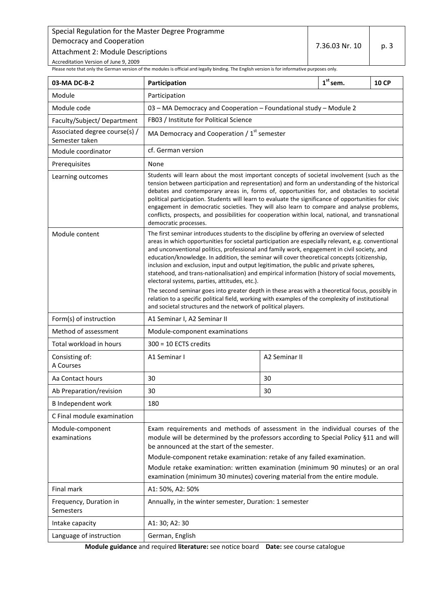Attachment 2: Module Descriptions

Accreditation Version of June 9, 2009

<span id="page-2-0"></span>Please note that only the German version of the modules is official and legally binding. The English version is for informative purposes only.

| 03-MA DC-B-2                                    | Participation                                                                                                                                                                                                                                                                                                                                                                                                                                                                                                                                                                                                                                |                                                                            | $1st$ sem. | <b>10 CP</b> |
|-------------------------------------------------|----------------------------------------------------------------------------------------------------------------------------------------------------------------------------------------------------------------------------------------------------------------------------------------------------------------------------------------------------------------------------------------------------------------------------------------------------------------------------------------------------------------------------------------------------------------------------------------------------------------------------------------------|----------------------------------------------------------------------------|------------|--------------|
| Module                                          | Participation                                                                                                                                                                                                                                                                                                                                                                                                                                                                                                                                                                                                                                |                                                                            |            |              |
| Module code                                     | 03 - MA Democracy and Cooperation - Foundational study - Module 2                                                                                                                                                                                                                                                                                                                                                                                                                                                                                                                                                                            |                                                                            |            |              |
| Faculty/Subject/Department                      | FB03 / Institute for Political Science                                                                                                                                                                                                                                                                                                                                                                                                                                                                                                                                                                                                       |                                                                            |            |              |
| Associated degree course(s) /<br>Semester taken | MA Democracy and Cooperation / $1st$ semester                                                                                                                                                                                                                                                                                                                                                                                                                                                                                                                                                                                                |                                                                            |            |              |
| Module coordinator                              | cf. German version                                                                                                                                                                                                                                                                                                                                                                                                                                                                                                                                                                                                                           |                                                                            |            |              |
| Prerequisites                                   | None                                                                                                                                                                                                                                                                                                                                                                                                                                                                                                                                                                                                                                         |                                                                            |            |              |
| Learning outcomes                               | Students will learn about the most important concepts of societal involvement (such as the<br>tension between participation and representation) and form an understanding of the historical<br>debates and contemporary areas in, forms of, opportunities for, and obstacles to societal<br>political participation. Students will learn to evaluate the significance of opportunities for civic<br>engagement in democratic societies. They will also learn to compare and analyse problems,<br>conflicts, prospects, and possibilities for cooperation within local, national, and transnational<br>democratic processes.                  |                                                                            |            |              |
| Module content                                  | The first seminar introduces students to the discipline by offering an overview of selected<br>areas in which opportunities for societal participation are especially relevant, e.g. conventional<br>and unconventional politics, professional and family work, engagement in civil society, and<br>education/knowledge. In addition, the seminar will cover theoretical concepts (citizenship,<br>inclusion and exclusion, input and output legitimation, the public and private spheres,<br>statehood, and trans-nationalisation) and empirical information (history of social movements,<br>electoral systems, parties, attitudes, etc.). |                                                                            |            |              |
|                                                 | The second seminar goes into greater depth in these areas with a theoretical focus, possibly in<br>relation to a specific political field, working with examples of the complexity of institutional<br>and societal structures and the network of political players.                                                                                                                                                                                                                                                                                                                                                                         |                                                                            |            |              |
| Form(s) of instruction                          | A1 Seminar I, A2 Seminar II                                                                                                                                                                                                                                                                                                                                                                                                                                                                                                                                                                                                                  |                                                                            |            |              |
| Method of assessment                            | Module-component examinations                                                                                                                                                                                                                                                                                                                                                                                                                                                                                                                                                                                                                |                                                                            |            |              |
| Total workload in hours                         | $300 = 10$ ECTS credits                                                                                                                                                                                                                                                                                                                                                                                                                                                                                                                                                                                                                      |                                                                            |            |              |
| Consisting of:<br>A Courses                     | A1 Seminar I                                                                                                                                                                                                                                                                                                                                                                                                                                                                                                                                                                                                                                 | A2 Seminar II                                                              |            |              |
| Aa Contact hours                                | 30                                                                                                                                                                                                                                                                                                                                                                                                                                                                                                                                                                                                                                           | 30                                                                         |            |              |
| Ab Preparation/revision                         | 30                                                                                                                                                                                                                                                                                                                                                                                                                                                                                                                                                                                                                                           | 30                                                                         |            |              |
| <b>B</b> Independent work                       | 180                                                                                                                                                                                                                                                                                                                                                                                                                                                                                                                                                                                                                                          |                                                                            |            |              |
| C Final module examination                      |                                                                                                                                                                                                                                                                                                                                                                                                                                                                                                                                                                                                                                              |                                                                            |            |              |
| Module-component<br>examinations                | Exam requirements and methods of assessment in the individual courses of the<br>module will be determined by the professors according to Special Policy §11 and will<br>be announced at the start of the semester.<br>Module-component retake examination: retake of any failed examination.<br>Module retake examination: written examination (minimum 90 minutes) or an oral                                                                                                                                                                                                                                                               |                                                                            |            |              |
| Final mark                                      | examination (minimum 30 minutes) covering material from the entire module.                                                                                                                                                                                                                                                                                                                                                                                                                                                                                                                                                                   |                                                                            |            |              |
| Frequency, Duration in<br>Semesters             |                                                                                                                                                                                                                                                                                                                                                                                                                                                                                                                                                                                                                                              | A1: 50%, A2: 50%<br>Annually, in the winter semester, Duration: 1 semester |            |              |
| Intake capacity                                 | A1: 30; A2: 30                                                                                                                                                                                                                                                                                                                                                                                                                                                                                                                                                                                                                               |                                                                            |            |              |
| Language of instruction                         | German, English                                                                                                                                                                                                                                                                                                                                                                                                                                                                                                                                                                                                                              |                                                                            |            |              |

**Module guidance** and required **literature:** see notice board **Date:** see course catalogue

7.36.03 Nr. 10  $\vert$  p. 3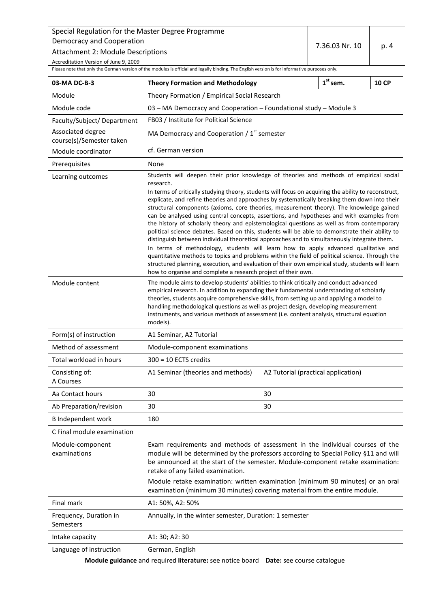Attachment 2: Module Descriptions

Accreditation Version of June 9, 2009

<span id="page-3-0"></span>Please note that only the German version of the modules is official and legally binding. The English version is for informative purposes only.

| 03-MA DC-B-3                                  | <b>Theory Formation and Methodology</b>                                                                                                                                                                                                                                                                                                                                                                                                                                                                                                                                                                                                                                                                                                                                                                                                                                                                                                                                                                                                                                                                                                                                                                                                                                                                                                                                                                                                                                                                                                                                                                                                    |                                               | $1st$ sem. | <b>10 CP</b> |
|-----------------------------------------------|--------------------------------------------------------------------------------------------------------------------------------------------------------------------------------------------------------------------------------------------------------------------------------------------------------------------------------------------------------------------------------------------------------------------------------------------------------------------------------------------------------------------------------------------------------------------------------------------------------------------------------------------------------------------------------------------------------------------------------------------------------------------------------------------------------------------------------------------------------------------------------------------------------------------------------------------------------------------------------------------------------------------------------------------------------------------------------------------------------------------------------------------------------------------------------------------------------------------------------------------------------------------------------------------------------------------------------------------------------------------------------------------------------------------------------------------------------------------------------------------------------------------------------------------------------------------------------------------------------------------------------------------|-----------------------------------------------|------------|--------------|
| Module                                        | Theory Formation / Empirical Social Research                                                                                                                                                                                                                                                                                                                                                                                                                                                                                                                                                                                                                                                                                                                                                                                                                                                                                                                                                                                                                                                                                                                                                                                                                                                                                                                                                                                                                                                                                                                                                                                               |                                               |            |              |
| Module code                                   | 03 - MA Democracy and Cooperation - Foundational study - Module 3                                                                                                                                                                                                                                                                                                                                                                                                                                                                                                                                                                                                                                                                                                                                                                                                                                                                                                                                                                                                                                                                                                                                                                                                                                                                                                                                                                                                                                                                                                                                                                          |                                               |            |              |
| Faculty/Subject/Department                    | FB03 / Institute for Political Science                                                                                                                                                                                                                                                                                                                                                                                                                                                                                                                                                                                                                                                                                                                                                                                                                                                                                                                                                                                                                                                                                                                                                                                                                                                                                                                                                                                                                                                                                                                                                                                                     |                                               |            |              |
| Associated degree<br>course(s)/Semester taken |                                                                                                                                                                                                                                                                                                                                                                                                                                                                                                                                                                                                                                                                                                                                                                                                                                                                                                                                                                                                                                                                                                                                                                                                                                                                                                                                                                                                                                                                                                                                                                                                                                            | MA Democracy and Cooperation / $1st$ semester |            |              |
| Module coordinator                            | cf. German version                                                                                                                                                                                                                                                                                                                                                                                                                                                                                                                                                                                                                                                                                                                                                                                                                                                                                                                                                                                                                                                                                                                                                                                                                                                                                                                                                                                                                                                                                                                                                                                                                         |                                               |            |              |
| Prerequisites                                 | None                                                                                                                                                                                                                                                                                                                                                                                                                                                                                                                                                                                                                                                                                                                                                                                                                                                                                                                                                                                                                                                                                                                                                                                                                                                                                                                                                                                                                                                                                                                                                                                                                                       |                                               |            |              |
| Learning outcomes<br>Module content           | Students will deepen their prior knowledge of theories and methods of empirical social<br>research.<br>In terms of critically studying theory, students will focus on acquiring the ability to reconstruct,<br>explicate, and refine theories and approaches by systematically breaking them down into their<br>structural components (axioms, core theories, measurement theory). The knowledge gained<br>can be analysed using central concepts, assertions, and hypotheses and with examples from<br>the history of scholarly theory and epistemological questions as well as from contemporary<br>political science debates. Based on this, students will be able to demonstrate their ability to<br>distinguish between individual theoretical approaches and to simultaneously integrate them.<br>In terms of methodology, students will learn how to apply advanced qualitative and<br>quantitative methods to topics and problems within the field of political science. Through the<br>structured planning, execution, and evaluation of their own empirical study, students will learn<br>how to organise and complete a research project of their own.<br>The module aims to develop students' abilities to think critically and conduct advanced<br>empirical research. In addition to expanding their fundamental understanding of scholarly<br>theories, students acquire comprehensive skills, from setting up and applying a model to<br>handling methodological questions as well as project design, developing measurement<br>instruments, and various methods of assessment (i.e. content analysis, structural equation |                                               |            |              |
| Form(s) of instruction                        | models).                                                                                                                                                                                                                                                                                                                                                                                                                                                                                                                                                                                                                                                                                                                                                                                                                                                                                                                                                                                                                                                                                                                                                                                                                                                                                                                                                                                                                                                                                                                                                                                                                                   |                                               |            |              |
| Method of assessment                          | A1 Seminar, A2 Tutorial<br>Module-component examinations                                                                                                                                                                                                                                                                                                                                                                                                                                                                                                                                                                                                                                                                                                                                                                                                                                                                                                                                                                                                                                                                                                                                                                                                                                                                                                                                                                                                                                                                                                                                                                                   |                                               |            |              |
| Total workload in hours                       | $300 = 10$ ECTS credits                                                                                                                                                                                                                                                                                                                                                                                                                                                                                                                                                                                                                                                                                                                                                                                                                                                                                                                                                                                                                                                                                                                                                                                                                                                                                                                                                                                                                                                                                                                                                                                                                    |                                               |            |              |
| Consisting of:<br>A Courses                   | A1 Seminar (theories and methods)                                                                                                                                                                                                                                                                                                                                                                                                                                                                                                                                                                                                                                                                                                                                                                                                                                                                                                                                                                                                                                                                                                                                                                                                                                                                                                                                                                                                                                                                                                                                                                                                          | A2 Tutorial (practical application)           |            |              |
| Aa Contact hours                              | 30                                                                                                                                                                                                                                                                                                                                                                                                                                                                                                                                                                                                                                                                                                                                                                                                                                                                                                                                                                                                                                                                                                                                                                                                                                                                                                                                                                                                                                                                                                                                                                                                                                         | 30                                            |            |              |
| Ab Preparation/revision                       | 30                                                                                                                                                                                                                                                                                                                                                                                                                                                                                                                                                                                                                                                                                                                                                                                                                                                                                                                                                                                                                                                                                                                                                                                                                                                                                                                                                                                                                                                                                                                                                                                                                                         | 30                                            |            |              |
| <b>B</b> Independent work                     | 180                                                                                                                                                                                                                                                                                                                                                                                                                                                                                                                                                                                                                                                                                                                                                                                                                                                                                                                                                                                                                                                                                                                                                                                                                                                                                                                                                                                                                                                                                                                                                                                                                                        |                                               |            |              |
| C Final module examination                    |                                                                                                                                                                                                                                                                                                                                                                                                                                                                                                                                                                                                                                                                                                                                                                                                                                                                                                                                                                                                                                                                                                                                                                                                                                                                                                                                                                                                                                                                                                                                                                                                                                            |                                               |            |              |
| Module-component<br>examinations              | Exam requirements and methods of assessment in the individual courses of the<br>module will be determined by the professors according to Special Policy §11 and will<br>be announced at the start of the semester. Module-component retake examination:<br>retake of any failed examination.<br>Module retake examination: written examination (minimum 90 minutes) or an oral<br>examination (minimum 30 minutes) covering material from the entire module.                                                                                                                                                                                                                                                                                                                                                                                                                                                                                                                                                                                                                                                                                                                                                                                                                                                                                                                                                                                                                                                                                                                                                                               |                                               |            |              |
| Final mark                                    | A1: 50%, A2: 50%                                                                                                                                                                                                                                                                                                                                                                                                                                                                                                                                                                                                                                                                                                                                                                                                                                                                                                                                                                                                                                                                                                                                                                                                                                                                                                                                                                                                                                                                                                                                                                                                                           |                                               |            |              |
| Frequency, Duration in<br>Semesters           | Annually, in the winter semester, Duration: 1 semester                                                                                                                                                                                                                                                                                                                                                                                                                                                                                                                                                                                                                                                                                                                                                                                                                                                                                                                                                                                                                                                                                                                                                                                                                                                                                                                                                                                                                                                                                                                                                                                     |                                               |            |              |
| Intake capacity                               | A1: 30; A2: 30                                                                                                                                                                                                                                                                                                                                                                                                                                                                                                                                                                                                                                                                                                                                                                                                                                                                                                                                                                                                                                                                                                                                                                                                                                                                                                                                                                                                                                                                                                                                                                                                                             |                                               |            |              |
| Language of instruction                       | German, English                                                                                                                                                                                                                                                                                                                                                                                                                                                                                                                                                                                                                                                                                                                                                                                                                                                                                                                                                                                                                                                                                                                                                                                                                                                                                                                                                                                                                                                                                                                                                                                                                            |                                               |            |              |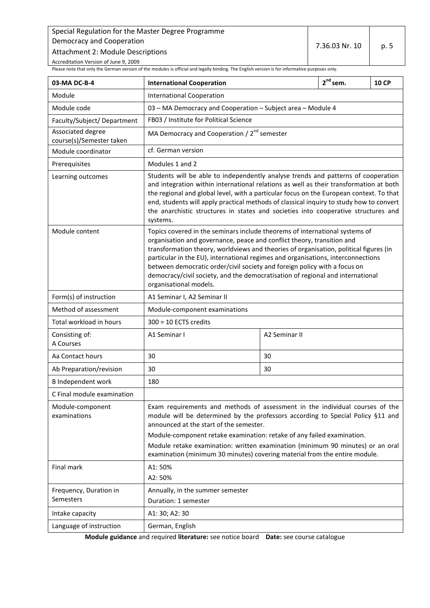7.36.03 Nr. 10  $\vert$  p. 5

Accreditation Version of June 9, 2009

<span id="page-4-0"></span>Please note that only the German version of the modules is official and legally binding. The English version is for informative purposes only.

| 03-MA DC-B-4                                  | $2^{nd}$ sem.<br><b>10 CP</b><br><b>International Cooperation</b>                                                                                                                                                                                                                                                                                                                                                                                                                                                           |               |  |  |  |
|-----------------------------------------------|-----------------------------------------------------------------------------------------------------------------------------------------------------------------------------------------------------------------------------------------------------------------------------------------------------------------------------------------------------------------------------------------------------------------------------------------------------------------------------------------------------------------------------|---------------|--|--|--|
| Module                                        | <b>International Cooperation</b>                                                                                                                                                                                                                                                                                                                                                                                                                                                                                            |               |  |  |  |
| Module code                                   | 03 - MA Democracy and Cooperation - Subject area - Module 4                                                                                                                                                                                                                                                                                                                                                                                                                                                                 |               |  |  |  |
| Faculty/Subject/Department                    | FB03 / Institute for Political Science                                                                                                                                                                                                                                                                                                                                                                                                                                                                                      |               |  |  |  |
| Associated degree<br>course(s)/Semester taken | MA Democracy and Cooperation / $2^{nd}$ semester                                                                                                                                                                                                                                                                                                                                                                                                                                                                            |               |  |  |  |
| Module coordinator                            | cf. German version                                                                                                                                                                                                                                                                                                                                                                                                                                                                                                          |               |  |  |  |
| Prerequisites                                 | Modules 1 and 2                                                                                                                                                                                                                                                                                                                                                                                                                                                                                                             |               |  |  |  |
| Learning outcomes                             | Students will be able to independently analyse trends and patterns of cooperation<br>and integration within international relations as well as their transformation at both<br>the regional and global level, with a particular focus on the European context. To that<br>end, students will apply practical methods of classical inquiry to study how to convert<br>the anarchistic structures in states and societies into cooperative structures and<br>systems.                                                         |               |  |  |  |
| Module content                                | Topics covered in the seminars include theorems of international systems of<br>organisation and governance, peace and conflict theory, transition and<br>transformation theory, worldviews and theories of organisation, political figures (in<br>particular in the EU), international regimes and organisations, interconnections<br>between democratic order/civil society and foreign policy with a focus on<br>democracy/civil society, and the democratisation of regional and international<br>organisational models. |               |  |  |  |
| Form(s) of instruction                        | A1 Seminar I, A2 Seminar II                                                                                                                                                                                                                                                                                                                                                                                                                                                                                                 |               |  |  |  |
| Method of assessment                          | Module-component examinations                                                                                                                                                                                                                                                                                                                                                                                                                                                                                               |               |  |  |  |
| Total workload in hours                       | $300 = 10$ ECTS credits                                                                                                                                                                                                                                                                                                                                                                                                                                                                                                     |               |  |  |  |
| Consisting of:<br>A Courses                   | A1 Seminar I                                                                                                                                                                                                                                                                                                                                                                                                                                                                                                                | A2 Seminar II |  |  |  |
| Aa Contact hours                              | 30                                                                                                                                                                                                                                                                                                                                                                                                                                                                                                                          | 30            |  |  |  |
| Ab Preparation/revision                       | 30                                                                                                                                                                                                                                                                                                                                                                                                                                                                                                                          | 30            |  |  |  |
| <b>B</b> Independent work                     | 180                                                                                                                                                                                                                                                                                                                                                                                                                                                                                                                         |               |  |  |  |
| C Final module examination                    |                                                                                                                                                                                                                                                                                                                                                                                                                                                                                                                             |               |  |  |  |
| Module-component<br>examinations              | Exam requirements and methods of assessment in the individual courses of the<br>module will be determined by the professors according to Special Policy §11 and<br>announced at the start of the semester.<br>Module-component retake examination: retake of any failed examination.<br>Module retake examination: written examination (minimum 90 minutes) or an oral<br>examination (minimum 30 minutes) covering material from the entire module.                                                                        |               |  |  |  |
| Final mark                                    | A1:50%<br>A2: 50%                                                                                                                                                                                                                                                                                                                                                                                                                                                                                                           |               |  |  |  |
| Frequency, Duration in                        | Annually, in the summer semester                                                                                                                                                                                                                                                                                                                                                                                                                                                                                            |               |  |  |  |
| <b>Semesters</b>                              | Duration: 1 semester                                                                                                                                                                                                                                                                                                                                                                                                                                                                                                        |               |  |  |  |
| Intake capacity                               | A1: 30; A2: 30                                                                                                                                                                                                                                                                                                                                                                                                                                                                                                              |               |  |  |  |
| Language of instruction                       | German, English                                                                                                                                                                                                                                                                                                                                                                                                                                                                                                             |               |  |  |  |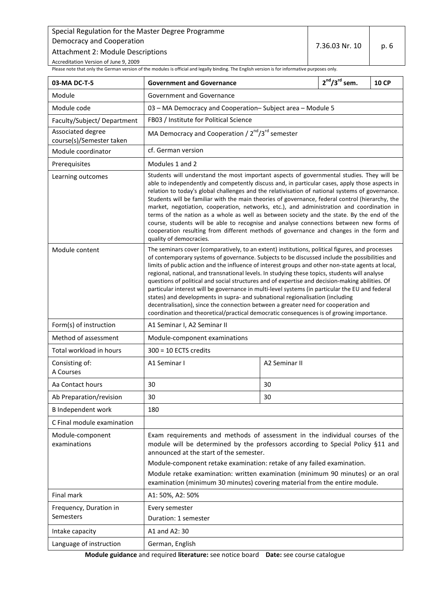Attachment 2: Module Descriptions

Accreditation Version of June 9, 2009

<span id="page-5-0"></span>Please note that only the German version of the modules is official and legally binding. The English version is for informative purposes only.

| 03-MA DC-T-5                                  | <b>Government and Governance</b>                                                                                                                                                                                                                                                                                                                                                                                                                                                                                                                                                                                                                                                                                                                                                                                                                                                |               | $2^{nd}/3^{rd}$ sem. | <b>10 CP</b> |
|-----------------------------------------------|---------------------------------------------------------------------------------------------------------------------------------------------------------------------------------------------------------------------------------------------------------------------------------------------------------------------------------------------------------------------------------------------------------------------------------------------------------------------------------------------------------------------------------------------------------------------------------------------------------------------------------------------------------------------------------------------------------------------------------------------------------------------------------------------------------------------------------------------------------------------------------|---------------|----------------------|--------------|
| Module                                        | Government and Governance                                                                                                                                                                                                                                                                                                                                                                                                                                                                                                                                                                                                                                                                                                                                                                                                                                                       |               |                      |              |
| Module code                                   | 03 - MA Democracy and Cooperation-Subject area - Module 5                                                                                                                                                                                                                                                                                                                                                                                                                                                                                                                                                                                                                                                                                                                                                                                                                       |               |                      |              |
| Faculty/Subject/ Department                   | FB03 / Institute for Political Science                                                                                                                                                                                                                                                                                                                                                                                                                                                                                                                                                                                                                                                                                                                                                                                                                                          |               |                      |              |
| Associated degree<br>course(s)/Semester taken | MA Democracy and Cooperation / 2 <sup>nd</sup> /3 <sup>rd</sup> semester                                                                                                                                                                                                                                                                                                                                                                                                                                                                                                                                                                                                                                                                                                                                                                                                        |               |                      |              |
| Module coordinator                            | cf. German version                                                                                                                                                                                                                                                                                                                                                                                                                                                                                                                                                                                                                                                                                                                                                                                                                                                              |               |                      |              |
| Prerequisites                                 | Modules 1 and 2                                                                                                                                                                                                                                                                                                                                                                                                                                                                                                                                                                                                                                                                                                                                                                                                                                                                 |               |                      |              |
| Learning outcomes                             | Students will understand the most important aspects of governmental studies. They will be<br>able to independently and competently discuss and, in particular cases, apply those aspects in<br>relation to today's global challenges and the relativisation of national systems of governance.<br>Students will be familiar with the main theories of governance, federal control (hierarchy, the<br>market, negotiation, cooperation, networks, etc.), and administration and coordination in<br>terms of the nation as a whole as well as between society and the state. By the end of the<br>course, students will be able to recognise and analyse connections between new forms of<br>cooperation resulting from different methods of governance and changes in the form and<br>quality of democracies.                                                                    |               |                      |              |
| Module content                                | The seminars cover (comparatively, to an extent) institutions, political figures, and processes<br>of contemporary systems of governance. Subjects to be discussed include the possibilities and<br>limits of public action and the influence of interest groups and other non-state agents at local,<br>regional, national, and transnational levels. In studying these topics, students will analyse<br>questions of political and social structures and of expertise and decision-making abilities. Of<br>particular interest will be governance in multi-level systems (in particular the EU and federal<br>states) and developments in supra- and subnational regionalisation (including<br>decentralisation), since the connection between a greater need for cooperation and<br>coordination and theoretical/practical democratic consequences is of growing importance. |               |                      |              |
| Form(s) of instruction                        | A1 Seminar I, A2 Seminar II                                                                                                                                                                                                                                                                                                                                                                                                                                                                                                                                                                                                                                                                                                                                                                                                                                                     |               |                      |              |
| Method of assessment                          | Module-component examinations                                                                                                                                                                                                                                                                                                                                                                                                                                                                                                                                                                                                                                                                                                                                                                                                                                                   |               |                      |              |
| Total workload in hours                       | $300 = 10$ ECTS credits                                                                                                                                                                                                                                                                                                                                                                                                                                                                                                                                                                                                                                                                                                                                                                                                                                                         |               |                      |              |
| Consisting of:<br>A Courses                   | A1 Seminar I                                                                                                                                                                                                                                                                                                                                                                                                                                                                                                                                                                                                                                                                                                                                                                                                                                                                    | A2 Seminar II |                      |              |
| Aa Contact hours                              | 30                                                                                                                                                                                                                                                                                                                                                                                                                                                                                                                                                                                                                                                                                                                                                                                                                                                                              | 30            |                      |              |
| Ab Preparation/revision                       | 30                                                                                                                                                                                                                                                                                                                                                                                                                                                                                                                                                                                                                                                                                                                                                                                                                                                                              | 30            |                      |              |
| <b>B</b> Independent work                     | 180                                                                                                                                                                                                                                                                                                                                                                                                                                                                                                                                                                                                                                                                                                                                                                                                                                                                             |               |                      |              |
| C Final module examination                    |                                                                                                                                                                                                                                                                                                                                                                                                                                                                                                                                                                                                                                                                                                                                                                                                                                                                                 |               |                      |              |
| Module-component<br>examinations              | Exam requirements and methods of assessment in the individual courses of the<br>module will be determined by the professors according to Special Policy §11 and<br>announced at the start of the semester.<br>Module-component retake examination: retake of any failed examination.<br>Module retake examination: written examination (minimum 90 minutes) or an oral<br>examination (minimum 30 minutes) covering material from the entire module.                                                                                                                                                                                                                                                                                                                                                                                                                            |               |                      |              |
| Final mark                                    | A1: 50%, A2: 50%                                                                                                                                                                                                                                                                                                                                                                                                                                                                                                                                                                                                                                                                                                                                                                                                                                                                |               |                      |              |
| Frequency, Duration in<br>Semesters           | Every semester<br>Duration: 1 semester                                                                                                                                                                                                                                                                                                                                                                                                                                                                                                                                                                                                                                                                                                                                                                                                                                          |               |                      |              |
| Intake capacity                               | A1 and A2: 30                                                                                                                                                                                                                                                                                                                                                                                                                                                                                                                                                                                                                                                                                                                                                                                                                                                                   |               |                      |              |
| Language of instruction                       | German, English                                                                                                                                                                                                                                                                                                                                                                                                                                                                                                                                                                                                                                                                                                                                                                                                                                                                 |               |                      |              |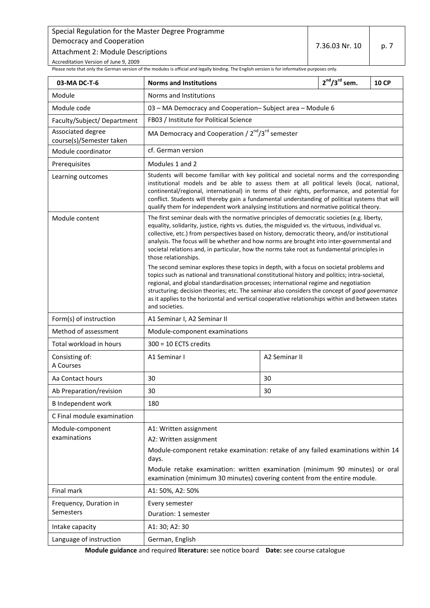Attachment 2: Module Descriptions

Accreditation Version of June 9, 2009

<span id="page-6-0"></span>Please note that only the German version of the modules is official and legally binding. The English version is for informative purposes only.

| 03-MA DC-T-6                                  | <b>Norms and Institutions</b>                                                                                                                                                                                                                                                                                                                                                                                                                                                                                                                                                                                                                                                                                                                                                                                                                                                                                                                                                                                                       |               | $2^{nd}/3^{rd}$ sem. | <b>10 CP</b> |
|-----------------------------------------------|-------------------------------------------------------------------------------------------------------------------------------------------------------------------------------------------------------------------------------------------------------------------------------------------------------------------------------------------------------------------------------------------------------------------------------------------------------------------------------------------------------------------------------------------------------------------------------------------------------------------------------------------------------------------------------------------------------------------------------------------------------------------------------------------------------------------------------------------------------------------------------------------------------------------------------------------------------------------------------------------------------------------------------------|---------------|----------------------|--------------|
| Module                                        | Norms and Institutions                                                                                                                                                                                                                                                                                                                                                                                                                                                                                                                                                                                                                                                                                                                                                                                                                                                                                                                                                                                                              |               |                      |              |
| Module code                                   | 03 - MA Democracy and Cooperation-Subject area - Module 6                                                                                                                                                                                                                                                                                                                                                                                                                                                                                                                                                                                                                                                                                                                                                                                                                                                                                                                                                                           |               |                      |              |
| Faculty/Subject/Department                    | FB03 / Institute for Political Science                                                                                                                                                                                                                                                                                                                                                                                                                                                                                                                                                                                                                                                                                                                                                                                                                                                                                                                                                                                              |               |                      |              |
| Associated degree<br>course(s)/Semester taken | MA Democracy and Cooperation / 2 <sup>nd</sup> /3 <sup>rd</sup> semester                                                                                                                                                                                                                                                                                                                                                                                                                                                                                                                                                                                                                                                                                                                                                                                                                                                                                                                                                            |               |                      |              |
| Module coordinator                            | cf. German version                                                                                                                                                                                                                                                                                                                                                                                                                                                                                                                                                                                                                                                                                                                                                                                                                                                                                                                                                                                                                  |               |                      |              |
| Prerequisites                                 | Modules 1 and 2                                                                                                                                                                                                                                                                                                                                                                                                                                                                                                                                                                                                                                                                                                                                                                                                                                                                                                                                                                                                                     |               |                      |              |
| Learning outcomes                             | Students will become familiar with key political and societal norms and the corresponding<br>institutional models and be able to assess them at all political levels (local, national,<br>continental/regional, international) in terms of their rights, performance, and potential for<br>conflict. Students will thereby gain a fundamental understanding of political systems that will<br>qualify them for independent work analysing institutions and normative political theory.                                                                                                                                                                                                                                                                                                                                                                                                                                                                                                                                              |               |                      |              |
| Module content                                | The first seminar deals with the normative principles of democratic societies (e.g. liberty,<br>equality, solidarity, justice, rights vs. duties, the misguided vs. the virtuous, individual vs.<br>collective, etc.) from perspectives based on history, democratic theory, and/or institutional<br>analysis. The focus will be whether and how norms are brought into inter-governmental and<br>societal relations and, in particular, how the norms take root as fundamental principles in<br>those relationships.<br>The second seminar explores these topics in depth, with a focus on societal problems and<br>topics such as national and transnational constitutional history and politics; intra-societal,<br>regional, and global standardisation processes; international regime and negotiation<br>structuring; decision theories; etc. The seminar also considers the concept of good governance<br>as it applies to the horizontal and vertical cooperative relationships within and between states<br>and societies. |               |                      |              |
| Form(s) of instruction                        | A1 Seminar I, A2 Seminar II                                                                                                                                                                                                                                                                                                                                                                                                                                                                                                                                                                                                                                                                                                                                                                                                                                                                                                                                                                                                         |               |                      |              |
| Method of assessment                          | Module-component examinations                                                                                                                                                                                                                                                                                                                                                                                                                                                                                                                                                                                                                                                                                                                                                                                                                                                                                                                                                                                                       |               |                      |              |
| Total workload in hours                       | $300 = 10$ ECTS credits                                                                                                                                                                                                                                                                                                                                                                                                                                                                                                                                                                                                                                                                                                                                                                                                                                                                                                                                                                                                             |               |                      |              |
| Consisting of:<br>A Courses                   | A1 Seminar I                                                                                                                                                                                                                                                                                                                                                                                                                                                                                                                                                                                                                                                                                                                                                                                                                                                                                                                                                                                                                        | A2 Seminar II |                      |              |
| Aa Contact hours                              | 30                                                                                                                                                                                                                                                                                                                                                                                                                                                                                                                                                                                                                                                                                                                                                                                                                                                                                                                                                                                                                                  | 30            |                      |              |
| Ab Preparation/revision                       | 30                                                                                                                                                                                                                                                                                                                                                                                                                                                                                                                                                                                                                                                                                                                                                                                                                                                                                                                                                                                                                                  | 30            |                      |              |
| <b>B</b> Independent work                     | 180                                                                                                                                                                                                                                                                                                                                                                                                                                                                                                                                                                                                                                                                                                                                                                                                                                                                                                                                                                                                                                 |               |                      |              |
| C Final module examination                    |                                                                                                                                                                                                                                                                                                                                                                                                                                                                                                                                                                                                                                                                                                                                                                                                                                                                                                                                                                                                                                     |               |                      |              |
| Module-component<br>examinations              | A1: Written assignment<br>A2: Written assignment<br>Module-component retake examination: retake of any failed examinations within 14<br>days.<br>Module retake examination: written examination (minimum 90 minutes) or oral<br>examination (minimum 30 minutes) covering content from the entire module.                                                                                                                                                                                                                                                                                                                                                                                                                                                                                                                                                                                                                                                                                                                           |               |                      |              |
| Final mark                                    | A1: 50%, A2: 50%                                                                                                                                                                                                                                                                                                                                                                                                                                                                                                                                                                                                                                                                                                                                                                                                                                                                                                                                                                                                                    |               |                      |              |
| Frequency, Duration in<br>Semesters           | Every semester<br>Duration: 1 semester                                                                                                                                                                                                                                                                                                                                                                                                                                                                                                                                                                                                                                                                                                                                                                                                                                                                                                                                                                                              |               |                      |              |
| Intake capacity                               | A1: 30; A2: 30                                                                                                                                                                                                                                                                                                                                                                                                                                                                                                                                                                                                                                                                                                                                                                                                                                                                                                                                                                                                                      |               |                      |              |
| Language of instruction                       | German, English                                                                                                                                                                                                                                                                                                                                                                                                                                                                                                                                                                                                                                                                                                                                                                                                                                                                                                                                                                                                                     |               |                      |              |

**Module guidance** and required **literature:** see notice board **Date:** see course catalogue

7.36.03 Nr. 10  $\vert$  p. 7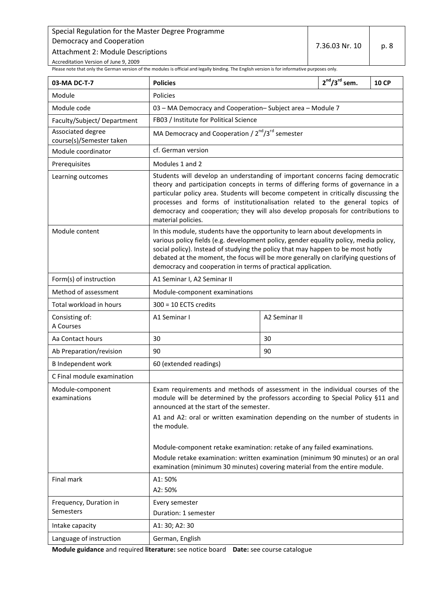7.36.03 Nr. 10 p. 8

Accreditation Version of June 9, 2009

<span id="page-7-0"></span>Please note that only the German version of the modules is official and legally binding. The English version is for informative purposes only.

| 03-MA DC-T-7                                  | <b>Policies</b>                                                                                                                                                                                                                                                                                                                                                                                                                                     |                                                                          | $2^{nd}/3^{rd}$ sem. | <b>10 CP</b> |
|-----------------------------------------------|-----------------------------------------------------------------------------------------------------------------------------------------------------------------------------------------------------------------------------------------------------------------------------------------------------------------------------------------------------------------------------------------------------------------------------------------------------|--------------------------------------------------------------------------|----------------------|--------------|
| Module                                        | Policies                                                                                                                                                                                                                                                                                                                                                                                                                                            |                                                                          |                      |              |
| Module code                                   |                                                                                                                                                                                                                                                                                                                                                                                                                                                     | 03 - MA Democracy and Cooperation-Subject area - Module 7                |                      |              |
| Faculty/Subject/Department                    | FB03 / Institute for Political Science                                                                                                                                                                                                                                                                                                                                                                                                              |                                                                          |                      |              |
| Associated degree<br>course(s)/Semester taken |                                                                                                                                                                                                                                                                                                                                                                                                                                                     | MA Democracy and Cooperation / 2 <sup>nd</sup> /3 <sup>rd</sup> semester |                      |              |
| Module coordinator                            | cf. German version                                                                                                                                                                                                                                                                                                                                                                                                                                  |                                                                          |                      |              |
| Prerequisites                                 | Modules 1 and 2                                                                                                                                                                                                                                                                                                                                                                                                                                     |                                                                          |                      |              |
| Learning outcomes                             | Students will develop an understanding of important concerns facing democratic<br>theory and participation concepts in terms of differing forms of governance in a<br>particular policy area. Students will become competent in critically discussing the<br>processes and forms of institutionalisation related to the general topics of<br>democracy and cooperation; they will also develop proposals for contributions to<br>material policies. |                                                                          |                      |              |
| Module content                                | In this module, students have the opportunity to learn about developments in<br>various policy fields (e.g. development policy, gender equality policy, media policy,<br>social policy). Instead of studying the policy that may happen to be most hotly<br>debated at the moment, the focus will be more generally on clarifying questions of<br>democracy and cooperation in terms of practical application.                                      |                                                                          |                      |              |
| Form(s) of instruction                        | A1 Seminar I, A2 Seminar II                                                                                                                                                                                                                                                                                                                                                                                                                         |                                                                          |                      |              |
| Method of assessment                          | Module-component examinations                                                                                                                                                                                                                                                                                                                                                                                                                       |                                                                          |                      |              |
| Total workload in hours                       | $300 = 10$ ECTS credits                                                                                                                                                                                                                                                                                                                                                                                                                             |                                                                          |                      |              |
| Consisting of:<br>A Courses                   | A1 Seminar I                                                                                                                                                                                                                                                                                                                                                                                                                                        | A2 Seminar II                                                            |                      |              |
| Aa Contact hours                              | 30                                                                                                                                                                                                                                                                                                                                                                                                                                                  | 30                                                                       |                      |              |
| Ab Preparation/revision                       | 90                                                                                                                                                                                                                                                                                                                                                                                                                                                  | 90                                                                       |                      |              |
| <b>B</b> Independent work                     | 60 (extended readings)                                                                                                                                                                                                                                                                                                                                                                                                                              |                                                                          |                      |              |
| C Final module examination                    |                                                                                                                                                                                                                                                                                                                                                                                                                                                     |                                                                          |                      |              |
| Module-component<br>examinations              | Exam requirements and methods of assessment in the individual courses of the<br>module will be determined by the professors according to Special Policy §11 and<br>announced at the start of the semester.<br>A1 and A2: oral or written examination depending on the number of students in<br>the module.                                                                                                                                          |                                                                          |                      |              |
|                                               | Module-component retake examination: retake of any failed examinations.<br>Module retake examination: written examination (minimum 90 minutes) or an oral<br>examination (minimum 30 minutes) covering material from the entire module.                                                                                                                                                                                                             |                                                                          |                      |              |
| Final mark                                    | A1:50%<br>A2: 50%                                                                                                                                                                                                                                                                                                                                                                                                                                   |                                                                          |                      |              |
| Frequency, Duration in<br>Semesters           | Every semester<br>Duration: 1 semester                                                                                                                                                                                                                                                                                                                                                                                                              |                                                                          |                      |              |
| Intake capacity                               | A1: 30; A2: 30                                                                                                                                                                                                                                                                                                                                                                                                                                      |                                                                          |                      |              |
| Language of instruction                       | German, English                                                                                                                                                                                                                                                                                                                                                                                                                                     |                                                                          |                      |              |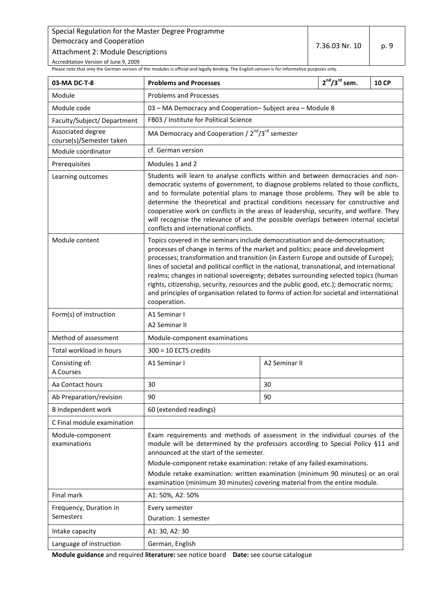Attachment 2: Module Descriptions

Accreditation Version of June 9, 2009

<span id="page-8-0"></span>Please note that only the German version of the modules is official and legally binding. The English version is for informative purposes only.

| 03-MA DC-T-8                                  | <b>Problems and Processes</b>                                                                                                                                                                                                                                                                                                                                                                                                                                                                                                                                                                                                                      |               | $2^{nd}/3^{rd}$ sem. | <b>10 CP</b> |  |
|-----------------------------------------------|----------------------------------------------------------------------------------------------------------------------------------------------------------------------------------------------------------------------------------------------------------------------------------------------------------------------------------------------------------------------------------------------------------------------------------------------------------------------------------------------------------------------------------------------------------------------------------------------------------------------------------------------------|---------------|----------------------|--------------|--|
| Module                                        | <b>Problems and Processes</b>                                                                                                                                                                                                                                                                                                                                                                                                                                                                                                                                                                                                                      |               |                      |              |  |
| Module code                                   | 03 - MA Democracy and Cooperation-Subject area - Module 8                                                                                                                                                                                                                                                                                                                                                                                                                                                                                                                                                                                          |               |                      |              |  |
| Faculty/Subject/Department                    | FB03 / Institute for Political Science                                                                                                                                                                                                                                                                                                                                                                                                                                                                                                                                                                                                             |               |                      |              |  |
| Associated degree<br>course(s)/Semester taken | MA Democracy and Cooperation / 2 <sup>nd</sup> /3 <sup>rd</sup> semester                                                                                                                                                                                                                                                                                                                                                                                                                                                                                                                                                                           |               |                      |              |  |
| Module coordinator                            | cf. German version                                                                                                                                                                                                                                                                                                                                                                                                                                                                                                                                                                                                                                 |               |                      |              |  |
| Prerequisites                                 | Modules 1 and 2                                                                                                                                                                                                                                                                                                                                                                                                                                                                                                                                                                                                                                    |               |                      |              |  |
| Learning outcomes                             | Students will learn to analyse conflicts within and between democracies and non-<br>democratic systems of government, to diagnose problems related to those conflicts,<br>and to formulate potential plans to manage those problems. They will be able to<br>determine the theoretical and practical conditions necessary for constructive and<br>cooperative work on conflicts in the areas of leadership, security, and welfare. They<br>will recognise the relevance of and the possible overlaps between internal societal<br>conflicts and international conflicts.                                                                           |               |                      |              |  |
| Module content                                | Topics covered in the seminars include democratisation and de-democratisation;<br>processes of change in terms of the market and politics; peace and development<br>processes; transformation and transition (in Eastern Europe and outside of Europe);<br>lines of societal and political conflict in the national, transnational, and international<br>realms; changes in national sovereignty; debates surrounding selected topics (human<br>rights, citizenship, security, resources and the public good, etc.); democratic norms;<br>and principles of organisation related to forms of action for societal and international<br>cooperation. |               |                      |              |  |
| Form(s) of instruction                        | A1 Seminar I<br>A2 Seminar II                                                                                                                                                                                                                                                                                                                                                                                                                                                                                                                                                                                                                      |               |                      |              |  |
| Method of assessment                          | Module-component examinations                                                                                                                                                                                                                                                                                                                                                                                                                                                                                                                                                                                                                      |               |                      |              |  |
| Total workload in hours                       | $300 = 10$ ECTS credits                                                                                                                                                                                                                                                                                                                                                                                                                                                                                                                                                                                                                            |               |                      |              |  |
| Consisting of:<br>A Courses                   | A1 Seminar I                                                                                                                                                                                                                                                                                                                                                                                                                                                                                                                                                                                                                                       | A2 Seminar II |                      |              |  |
| Aa Contact hours                              | 30                                                                                                                                                                                                                                                                                                                                                                                                                                                                                                                                                                                                                                                 | 30            |                      |              |  |
| Ab Preparation/revision                       | 90                                                                                                                                                                                                                                                                                                                                                                                                                                                                                                                                                                                                                                                 | 90            |                      |              |  |
| <b>B</b> Independent work                     | 60 (extended readings)                                                                                                                                                                                                                                                                                                                                                                                                                                                                                                                                                                                                                             |               |                      |              |  |
| C Final module examination                    |                                                                                                                                                                                                                                                                                                                                                                                                                                                                                                                                                                                                                                                    |               |                      |              |  |
| Module-component<br>examinations              | Exam requirements and methods of assessment in the individual courses of the<br>module will be determined by the professors according to Special Policy §11 and<br>announced at the start of the semester.<br>Module-component retake examination: retake of any failed examinations.<br>Module retake examination: written examination (minimum 90 minutes) or an oral<br>examination (minimum 30 minutes) covering material from the entire module.                                                                                                                                                                                              |               |                      |              |  |
| Final mark                                    | A1: 50%, A2: 50%                                                                                                                                                                                                                                                                                                                                                                                                                                                                                                                                                                                                                                   |               |                      |              |  |
| Frequency, Duration in                        | Every semester                                                                                                                                                                                                                                                                                                                                                                                                                                                                                                                                                                                                                                     |               |                      |              |  |
| Semesters                                     | Duration: 1 semester                                                                                                                                                                                                                                                                                                                                                                                                                                                                                                                                                                                                                               |               |                      |              |  |
| Intake capacity                               | A1: 30, A2: 30                                                                                                                                                                                                                                                                                                                                                                                                                                                                                                                                                                                                                                     |               |                      |              |  |
| Language of instruction                       | German, English                                                                                                                                                                                                                                                                                                                                                                                                                                                                                                                                                                                                                                    |               |                      |              |  |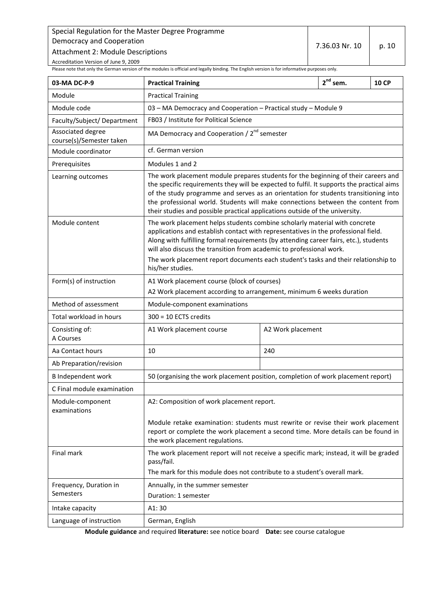7.36.03 Nr. 10 p. 10

Accreditation Version of June 9, 2009

<span id="page-9-0"></span>Please note that only the German version of the modules is official and legally binding. The English version is for informative purposes only.

| 03-MA DC-P-9                                  | <b>Practical Training</b>                                                                                                                                                                                                                                                                                                                                                                                                                   |                                                  | $2^{nd}$ sem. | <b>10 CP</b> |
|-----------------------------------------------|---------------------------------------------------------------------------------------------------------------------------------------------------------------------------------------------------------------------------------------------------------------------------------------------------------------------------------------------------------------------------------------------------------------------------------------------|--------------------------------------------------|---------------|--------------|
| Module                                        | <b>Practical Training</b>                                                                                                                                                                                                                                                                                                                                                                                                                   |                                                  |               |              |
| Module code                                   | 03 - MA Democracy and Cooperation - Practical study - Module 9                                                                                                                                                                                                                                                                                                                                                                              |                                                  |               |              |
| Faculty/Subject/Department                    | FB03 / Institute for Political Science                                                                                                                                                                                                                                                                                                                                                                                                      |                                                  |               |              |
| Associated degree<br>course(s)/Semester taken |                                                                                                                                                                                                                                                                                                                                                                                                                                             | MA Democracy and Cooperation / $2^{nd}$ semester |               |              |
| Module coordinator                            | cf. German version                                                                                                                                                                                                                                                                                                                                                                                                                          |                                                  |               |              |
| Prerequisites                                 | Modules 1 and 2                                                                                                                                                                                                                                                                                                                                                                                                                             |                                                  |               |              |
| Learning outcomes                             | The work placement module prepares students for the beginning of their careers and<br>the specific requirements they will be expected to fulfil. It supports the practical aims<br>of the study programme and serves as an orientation for students transitioning into<br>the professional world. Students will make connections between the content from<br>their studies and possible practical applications outside of the university.   |                                                  |               |              |
| Module content                                | The work placement helps students combine scholarly material with concrete<br>applications and establish contact with representatives in the professional field.<br>Along with fulfilling formal requirements (by attending career fairs, etc.), students<br>will also discuss the transition from academic to professional work.<br>The work placement report documents each student's tasks and their relationship to<br>his/her studies. |                                                  |               |              |
| Form(s) of instruction                        | A1 Work placement course (block of courses)<br>A2 Work placement according to arrangement, minimum 6 weeks duration                                                                                                                                                                                                                                                                                                                         |                                                  |               |              |
| Method of assessment                          | Module-component examinations                                                                                                                                                                                                                                                                                                                                                                                                               |                                                  |               |              |
| Total workload in hours                       | $300 = 10$ ECTS credits                                                                                                                                                                                                                                                                                                                                                                                                                     |                                                  |               |              |
| Consisting of:<br>A Courses                   | A1 Work placement course                                                                                                                                                                                                                                                                                                                                                                                                                    | A2 Work placement                                |               |              |
| Aa Contact hours                              | 10                                                                                                                                                                                                                                                                                                                                                                                                                                          | 240                                              |               |              |
| Ab Preparation/revision                       |                                                                                                                                                                                                                                                                                                                                                                                                                                             |                                                  |               |              |
| <b>B</b> Independent work                     | 50 (organising the work placement position, completion of work placement report)                                                                                                                                                                                                                                                                                                                                                            |                                                  |               |              |
| C Final module examination                    |                                                                                                                                                                                                                                                                                                                                                                                                                                             |                                                  |               |              |
| Module-component<br>examinations              | A2: Composition of work placement report.<br>Module retake examination: students must rewrite or revise their work placement<br>report or complete the work placement a second time. More details can be found in                                                                                                                                                                                                                           |                                                  |               |              |
|                                               | the work placement regulations.                                                                                                                                                                                                                                                                                                                                                                                                             |                                                  |               |              |
| Final mark                                    | The work placement report will not receive a specific mark; instead, it will be graded<br>pass/fail.<br>The mark for this module does not contribute to a student's overall mark.                                                                                                                                                                                                                                                           |                                                  |               |              |
| Frequency, Duration in                        | Annually, in the summer semester                                                                                                                                                                                                                                                                                                                                                                                                            |                                                  |               |              |
| Semesters                                     | Duration: 1 semester                                                                                                                                                                                                                                                                                                                                                                                                                        |                                                  |               |              |
| Intake capacity                               | A1:30                                                                                                                                                                                                                                                                                                                                                                                                                                       |                                                  |               |              |
| Language of instruction                       | German, English                                                                                                                                                                                                                                                                                                                                                                                                                             |                                                  |               |              |